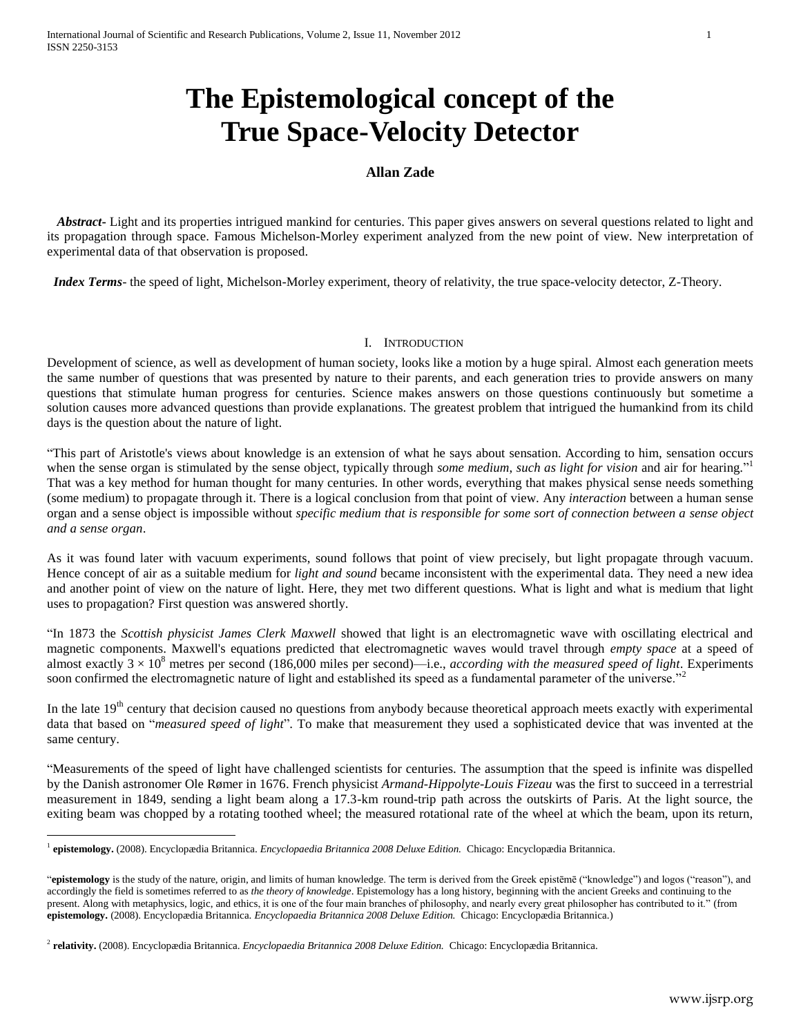# **The Epistemological concept of the True Space-Velocity Detector**

## **Allan Zade**

 *Abstract***-** Light and its properties intrigued mankind for centuries. This paper gives answers on several questions related to light and its propagation through space. Famous Michelson-Morley experiment analyzed from the new point of view. New interpretation of experimental data of that observation is proposed.

 *Index Terms*- the speed of light, Michelson-Morley experiment, theory of relativity, the true space-velocity detector, Z-Theory.

#### I. INTRODUCTION

Development of science, as well as development of human society, looks like a motion by a huge spiral. Almost each generation meets the same number of questions that was presented by nature to their parents, and each generation tries to provide answers on many questions that stimulate human progress for centuries. Science makes answers on those questions continuously but sometime a solution causes more advanced questions than provide explanations. The greatest problem that intrigued the humankind from its child days is the question about the nature of light.

―This part of Aristotle's views about knowledge is an extension of what he says about sensation. According to him, sensation occurs when the sense organ is stimulated by the sense object, typically through *some medium*, *such as light for vision* and air for hearing."<sup>1</sup> That was a key method for human thought for many centuries. In other words, everything that makes physical sense needs something (some medium) to propagate through it. There is a logical conclusion from that point of view. Any *interaction* between a human sense organ and a sense object is impossible without *specific medium that is responsible for some sort of connection between a sense object and a sense organ*.

As it was found later with vacuum experiments, sound follows that point of view precisely, but light propagate through vacuum. Hence concept of air as a suitable medium for *light and sound* became inconsistent with the experimental data. They need a new idea and another point of view on the nature of light. Here, they met two different questions. What is light and what is medium that light uses to propagation? First question was answered shortly.

―In 1873 the *Scottish physicist James Clerk Maxwell* showed that light is an electromagnetic wave with oscillating electrical and magnetic components. Maxwell's equations predicted that electromagnetic waves would travel through *empty space* at a speed of almost exactly  $3 \times 10^8$  metres per second (186,000 miles per second)—i.e., *according with the measured speed of light*. Experiments soon confirmed the electromagnetic nature of light and established its speed as a fundamental parameter of the universe.<sup> $n^2$ </sup>

In the late  $19<sup>th</sup>$  century that decision caused no questions from anybody because theoretical approach meets exactly with experimental data that based on "*measured speed of light*". To make that measurement they used a sophisticated device that was invented at the same century.

―Measurements of the speed of light have challenged scientists for centuries. The assumption that the speed is infinite was dispelled by the Danish astronomer Ole Rømer in 1676. French physicist *Armand-Hippolyte-Louis Fizeau* was the first to succeed in a terrestrial measurement in 1849, sending a light beam along a 17.3-km round-trip path across the outskirts of Paris. At the light source, the exiting beam was chopped by a rotating toothed wheel; the measured rotational rate of the wheel at which the beam, upon its return,

<sup>1</sup> **epistemology.** (2008). Encyclopædia Britannica. *Encyclopaedia Britannica 2008 Deluxe Edition.* Chicago: Encyclopædia Britannica.

<sup>&</sup>quot;epistemology is the study of the nature, origin, and limits of human knowledge. The term is derived from the Greek episteme ("knowledge") and logos ("reason"), and accordingly the field is sometimes referred to as *the theory of knowledge*. Epistemology has a long history, beginning with the ancient Greeks and continuing to the present. Along with metaphysics, logic, and ethics, it is one of the four main branches of philosophy, and nearly every great philosopher has contributed to it." (from **epistemology.** (2008). Encyclopædia Britannica. *Encyclopaedia Britannica 2008 Deluxe Edition.* Chicago: Encyclopædia Britannica.)

<sup>2</sup> **relativity.** (2008). Encyclopædia Britannica. *Encyclopaedia Britannica 2008 Deluxe Edition.* Chicago: Encyclopædia Britannica.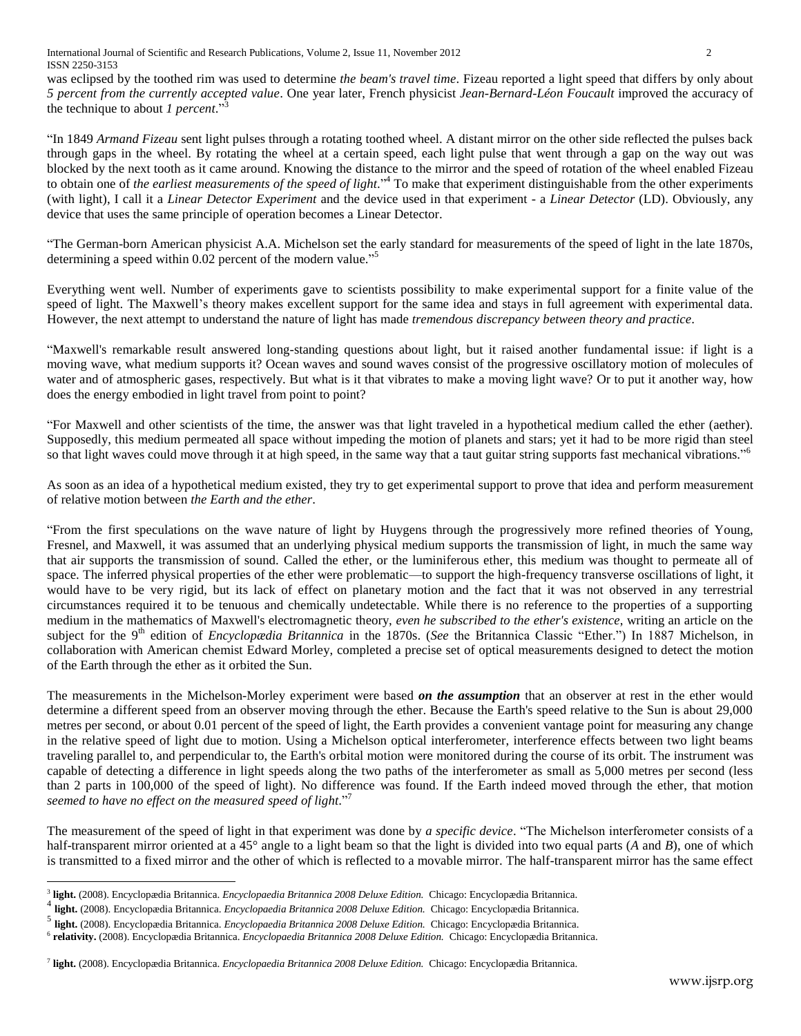International Journal of Scientific and Research Publications, Volume 2, Issue 11, November 2012 2 ISSN 2250-3153

was eclipsed by the toothed rim was used to determine *the beam's travel time*. Fizeau reported a light speed that differs by only about *5 percent from the currently accepted value*. One year later, French physicist *Jean-Bernard-Léon Foucault* improved the accuracy of the technique to about  $1$  percent.<sup>33</sup>

"In 1849 *Armand Fizeau* sent light pulses through a rotating toothed wheel. A distant mirror on the other side reflected the pulses back through gaps in the wheel. By rotating the wheel at a certain speed, each light pulse that went through a gap on the way out was blocked by the next tooth as it came around. Knowing the distance to the mirror and the speed of rotation of the wheel enabled Fizeau to obtain one of *the earliest measurements of the speed of light*.<sup>24</sup> To make that experiment distinguishable from the other experiments (with light), I call it a *Linear Detector Experiment* and the device used in that experiment - a *Linear Detector* (LD). Obviously, any device that uses the same principle of operation becomes a Linear Detector.

―The German-born American physicist A.A. Michelson set the early standard for measurements of the speed of light in the late 1870s, determining a speed within  $0.02$  percent of the modern value."<sup>5</sup>

Everything went well. Number of experiments gave to scientists possibility to make experimental support for a finite value of the speed of light. The Maxwell's theory makes excellent support for the same idea and stays in full agreement with experimental data. However, the next attempt to understand the nature of light has made *tremendous discrepancy between theory and practice*.

―Maxwell's remarkable result answered long-standing questions about light, but it raised another fundamental issue: if light is a moving wave, what medium supports it? Ocean waves and sound waves consist of the progressive oscillatory motion of molecules of water and of atmospheric gases, respectively. But what is it that vibrates to make a moving light wave? Or to put it another way, how does the energy embodied in light travel from point to point?

―For Maxwell and other scientists of the time, the answer was that light traveled in a hypothetical medium called the ether (aether). Supposedly, this medium permeated all space without impeding the motion of planets and stars; yet it had to be more rigid than steel so that light waves could move through it at high speed, in the same way that a taut guitar string supports fast mechanical vibrations."<sup>6</sup>

As soon as an idea of a hypothetical medium existed, they try to get experimental support to prove that idea and perform measurement of relative motion between *the Earth and the ether*.

―From the first speculations on the wave nature of light by Huygens through the progressively more refined theories of Young, Fresnel, and Maxwell, it was assumed that an underlying physical medium supports the transmission of light, in much the same way that air supports the transmission of sound. Called the ether, or the luminiferous ether, this medium was thought to permeate all of space. The inferred physical properties of the ether were problematic—to support the high-frequency transverse oscillations of light, it would have to be very rigid, but its lack of effect on planetary motion and the fact that it was not observed in any terrestrial circumstances required it to be tenuous and chemically undetectable. While there is no reference to the properties of a supporting medium in the mathematics of Maxwell's electromagnetic theory, *even he subscribed to the ether's existence*, writing an article on the subject for the 9<sup>th</sup> edition of *Encyclopædia Britannica* in the 1870s. (*See* the Britannica Classic "Ether.") In 1887 Michelson, in collaboration with American chemist Edward Morley, completed a precise set of optical measurements designed to detect the motion of the Earth through the ether as it orbited the Sun.

The measurements in the Michelson-Morley experiment were based *on the assumption* that an observer at rest in the ether would determine a different speed from an observer moving through the ether. Because the Earth's speed relative to the Sun is about 29,000 metres per second, or about 0.01 percent of the speed of light, the Earth provides a convenient vantage point for measuring any change in the relative speed of light due to motion. Using a Michelson optical interferometer, interference effects between two light beams traveling parallel to, and perpendicular to, the Earth's orbital motion were monitored during the course of its orbit. The instrument was capable of detecting a difference in light speeds along the two paths of the interferometer as small as 5,000 metres per second (less than 2 parts in 100,000 of the speed of light). No difference was found. If the Earth indeed moved through the ether, that motion seemed to have no effect on the measured speed of light."<sup>7</sup>

The measurement of the speed of light in that experiment was done by *a specific device*. "The Michelson interferometer consists of a half-transparent mirror oriented at a 45° angle to a light beam so that the light is divided into two equal parts (*A* and *B*), one of which is transmitted to a fixed mirror and the other of which is reflected to a movable mirror. The half-transparent mirror has the same effect

<sup>3</sup> **light.** (2008). Encyclopædia Britannica. *Encyclopaedia Britannica 2008 Deluxe Edition.* Chicago: Encyclopædia Britannica.

<sup>4</sup> **light.** (2008). Encyclopædia Britannica. *Encyclopaedia Britannica 2008 Deluxe Edition.* Chicago: Encyclopædia Britannica.

<sup>5</sup> **light.** (2008). Encyclopædia Britannica. *Encyclopaedia Britannica 2008 Deluxe Edition.* Chicago: Encyclopædia Britannica.

<sup>6</sup> **relativity.** (2008). Encyclopædia Britannica. *Encyclopaedia Britannica 2008 Deluxe Edition.* Chicago: Encyclopædia Britannica.

<sup>7</sup> **light.** (2008). Encyclopædia Britannica. *Encyclopaedia Britannica 2008 Deluxe Edition.* Chicago: Encyclopædia Britannica.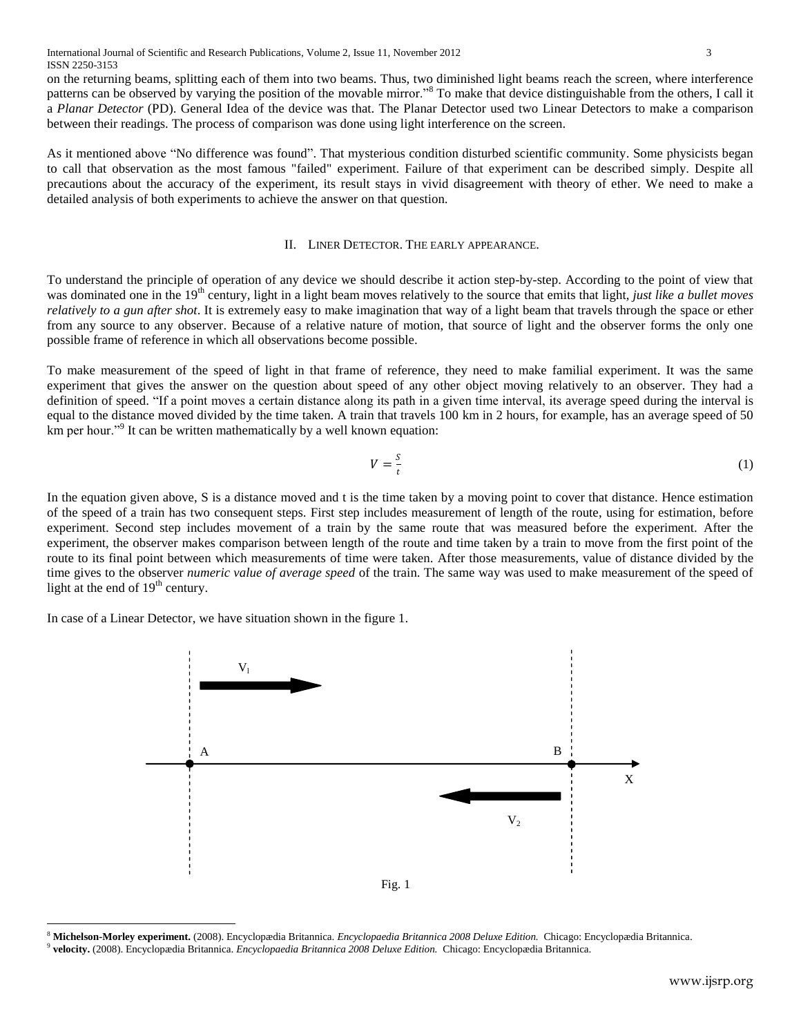on the returning beams, splitting each of them into two beams. Thus, two diminished light beams reach the screen, where interference patterns can be observed by varying the position of the movable mirror.<sup>8</sup> To make that device distinguishable from the others, I call it a *Planar Detector* (PD). General Idea of the device was that. The Planar Detector used two Linear Detectors to make a comparison between their readings. The process of comparison was done using light interference on the screen.

As it mentioned above "No difference was found". That mysterious condition disturbed scientific community. Some physicists began to call that observation as the most famous "failed" experiment. Failure of that experiment can be described simply. Despite all precautions about the accuracy of the experiment, its result stays in vivid disagreement with theory of ether. We need to make a detailed analysis of both experiments to achieve the answer on that question.

## II. LINER DETECTOR. THE EARLY APPEARANCE.

To understand the principle of operation of any device we should describe it action step-by-step. According to the point of view that was dominated one in the 19<sup>th</sup> century, light in a light beam moves relatively to the source that emits that light, *just like a bullet moves relatively to a gun after shot*. It is extremely easy to make imagination that way of a light beam that travels through the space or ether from any source to any observer. Because of a relative nature of motion, that source of light and the observer forms the only one possible frame of reference in which all observations become possible.

To make measurement of the speed of light in that frame of reference, they need to make familial experiment. It was the same experiment that gives the answer on the question about speed of any other object moving relatively to an observer. They had a definition of speed. "If a point moves a certain distance along its path in a given time interval, its average speed during the interval is equal to the distance moved divided by the time taken. A train that travels 100 km in 2 hours, for example, has an average speed of 50 km per hour."<sup>9</sup> It can be written mathematically by a well known equation:

$$
V = \frac{s}{t} \tag{1}
$$

In the equation given above, S is a distance moved and t is the time taken by a moving point to cover that distance. Hence estimation of the speed of a train has two consequent steps. First step includes measurement of length of the route, using for estimation, before experiment. Second step includes movement of a train by the same route that was measured before the experiment. After the experiment, the observer makes comparison between length of the route and time taken by a train to move from the first point of the route to its final point between which measurements of time were taken. After those measurements, value of distance divided by the time gives to the observer *numeric value of average speed* of the train. The same way was used to make measurement of the speed of light at the end of  $19<sup>th</sup>$  century.

In case of a Linear Detector, we have situation shown in the figure 1.



<sup>8</sup> **Michelson-Morley experiment.** (2008). Encyclopædia Britannica. *Encyclopaedia Britannica 2008 Deluxe Edition.* Chicago: Encyclopædia Britannica. 9 **velocity.** (2008). Encyclopædia Britannica. *Encyclopaedia Britannica 2008 Deluxe Edition.* Chicago: Encyclopædia Britannica.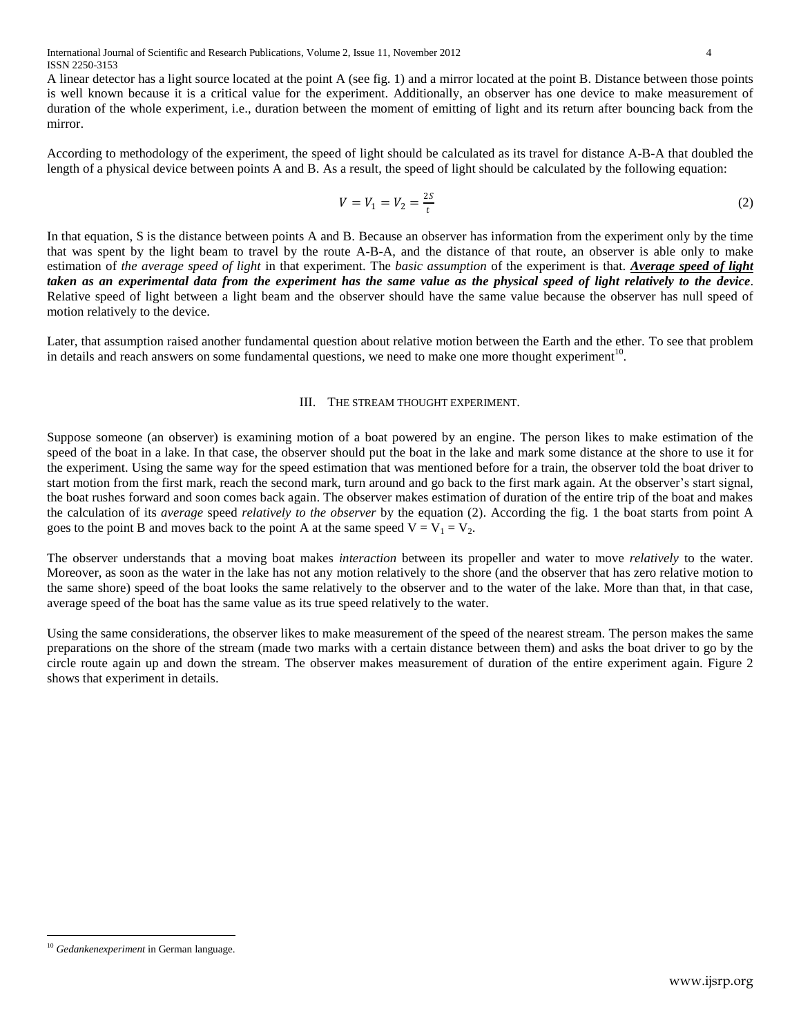A linear detector has a light source located at the point A (see fig. 1) and a mirror located at the point B. Distance between those points is well known because it is a critical value for the experiment. Additionally, an observer has one device to make measurement of duration of the whole experiment, i.e., duration between the moment of emitting of light and its return after bouncing back from the mirror.

According to methodology of the experiment, the speed of light should be calculated as its travel for distance A-B-A that doubled the length of a physical device between points A and B. As a result, the speed of light should be calculated by the following equation:

$$
V = V_1 = V_2 = \frac{2S}{t}
$$
\n<sup>(2)</sup>

In that equation, S is the distance between points A and B. Because an observer has information from the experiment only by the time that was spent by the light beam to travel by the route A-B-A, and the distance of that route, an observer is able only to make estimation of *the average speed of light* in that experiment. The *basic assumption* of the experiment is that. *Average speed of light taken as an experimental data from the experiment has the same value as the physical speed of light relatively to the device*. Relative speed of light between a light beam and the observer should have the same value because the observer has null speed of motion relatively to the device.

Later, that assumption raised another fundamental question about relative motion between the Earth and the ether. To see that problem in details and reach answers on some fundamental questions, we need to make one more thought experiment<sup>10</sup>.

## III. THE STREAM THOUGHT EXPERIMENT.

Suppose someone (an observer) is examining motion of a boat powered by an engine. The person likes to make estimation of the speed of the boat in a lake. In that case, the observer should put the boat in the lake and mark some distance at the shore to use it for the experiment. Using the same way for the speed estimation that was mentioned before for a train, the observer told the boat driver to start motion from the first mark, reach the second mark, turn around and go back to the first mark again. At the observer's start signal, the boat rushes forward and soon comes back again. The observer makes estimation of duration of the entire trip of the boat and makes the calculation of its *average* speed *relatively to the observer* by the equation (2). According the fig. 1 the boat starts from point A goes to the point B and moves back to the point A at the same speed  $V = V_1 = V_2$ .

The observer understands that a moving boat makes *interaction* between its propeller and water to move *relatively* to the water. Moreover, as soon as the water in the lake has not any motion relatively to the shore (and the observer that has zero relative motion to the same shore) speed of the boat looks the same relatively to the observer and to the water of the lake. More than that, in that case, average speed of the boat has the same value as its true speed relatively to the water.

Using the same considerations, the observer likes to make measurement of the speed of the nearest stream. The person makes the same preparations on the shore of the stream (made two marks with a certain distance between them) and asks the boat driver to go by the circle route again up and down the stream. The observer makes measurement of duration of the entire experiment again. Figure 2 shows that experiment in details.

 $\overline{a}$ <sup>10</sup> *Gedankenexperiment* in German language.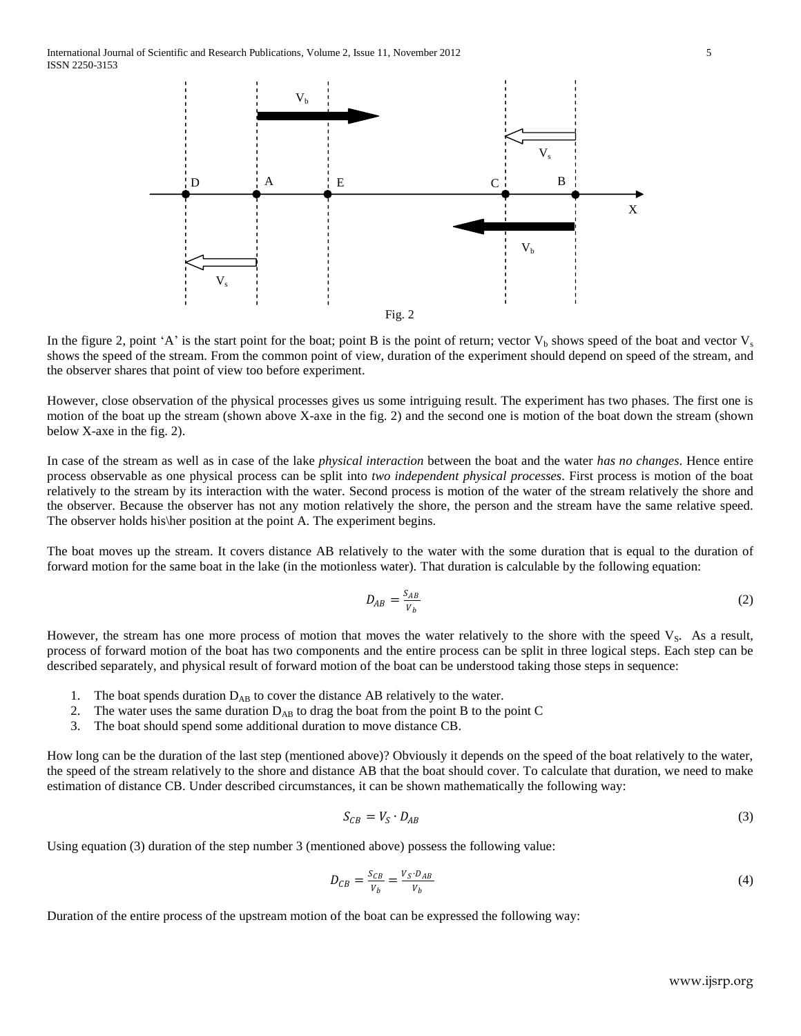

In the figure 2, point 'A' is the start point for the boat; point B is the point of return; vector  $V_b$  shows speed of the boat and vector  $V_s$ shows the speed of the stream. From the common point of view, duration of the experiment should depend on speed of the stream, and the observer shares that point of view too before experiment.

However, close observation of the physical processes gives us some intriguing result. The experiment has two phases. The first one is motion of the boat up the stream (shown above X-axe in the fig. 2) and the second one is motion of the boat down the stream (shown below X-axe in the fig. 2).

In case of the stream as well as in case of the lake *physical interaction* between the boat and the water *has no changes*. Hence entire process observable as one physical process can be split into *two independent physical processes*. First process is motion of the boat relatively to the stream by its interaction with the water. Second process is motion of the water of the stream relatively the shore and the observer. Because the observer has not any motion relatively the shore, the person and the stream have the same relative speed. The observer holds his\her position at the point A. The experiment begins.

The boat moves up the stream. It covers distance AB relatively to the water with the some duration that is equal to the duration of forward motion for the same boat in the lake (in the motionless water). That duration is calculable by the following equation:

$$
D_{AB} = \frac{S_{AB}}{V_b} \tag{2}
$$

However, the stream has one more process of motion that moves the water relatively to the shore with the speed  $V_s$ . As a result, process of forward motion of the boat has two components and the entire process can be split in three logical steps. Each step can be described separately, and physical result of forward motion of the boat can be understood taking those steps in sequence:

- 1. The boat spends duration  $D_{AB}$  to cover the distance AB relatively to the water.
- 2. The water uses the same duration  $D_{AB}$  to drag the boat from the point B to the point C
- 3. The boat should spend some additional duration to move distance CB.

How long can be the duration of the last step (mentioned above)? Obviously it depends on the speed of the boat relatively to the water, the speed of the stream relatively to the shore and distance AB that the boat should cover. To calculate that duration, we need to make estimation of distance CB. Under described circumstances, it can be shown mathematically the following way:

$$
S_{CB} = V_S \cdot D_{AB} \tag{3}
$$

Using equation (3) duration of the step number 3 (mentioned above) possess the following value:

$$
D_{CB} = \frac{S_{CB}}{V_b} = \frac{V_S \cdot D_{AB}}{V_b} \tag{4}
$$

Duration of the entire process of the upstream motion of the boat can be expressed the following way: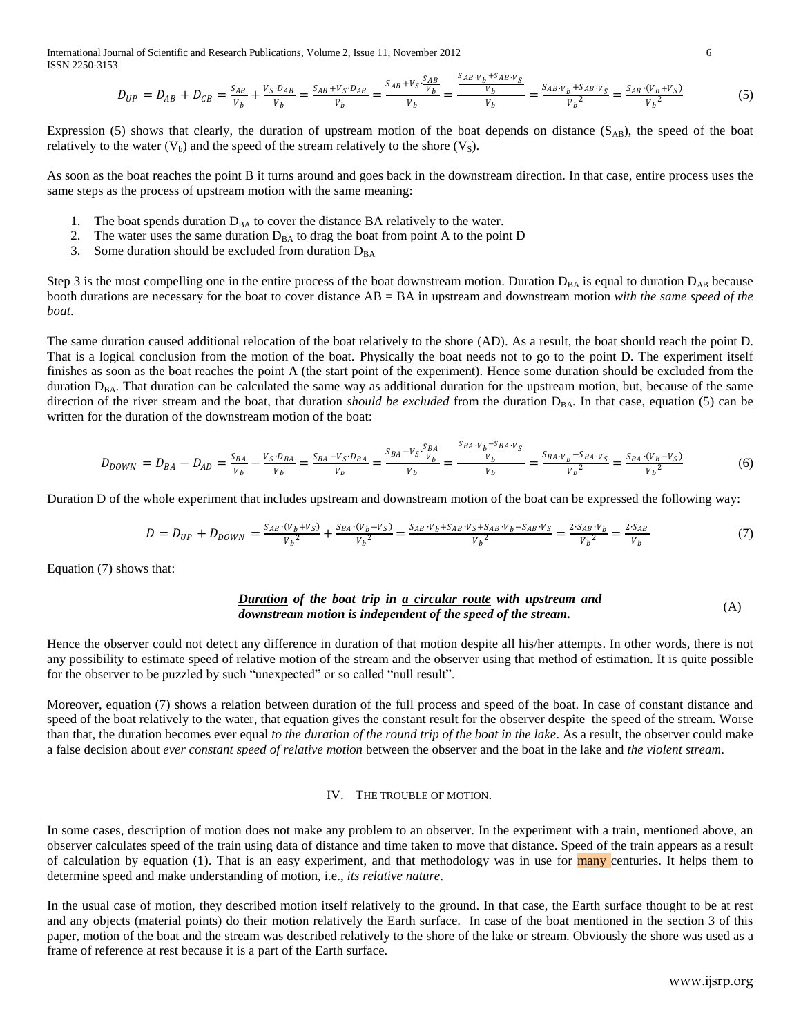International Journal of Scientific and Research Publications, Volume 2, Issue 11, November 2012 6 ISSN 2250-3153

$$
D_{UP} = D_{AB} + D_{CB} = \frac{S_{AB}}{V_b} + \frac{V_S \cdot D_{AB}}{V_b} = \frac{S_{AB} + V_S \cdot D_{AB}}{V_b} = \frac{S_{AB} + V_S \cdot \frac{S_{AB}}{V_b}}{V_b} = \frac{\frac{S_{AB} \cdot V_b + S_{AB} \cdot V_S}{V_b}}{V_b} = \frac{S_{AB} \cdot V_b + S_{AB} \cdot V_S}{V_b^2} = \frac{S_{AB} \cdot (V_b + V_S)}{V_b^2} \tag{5}
$$

Expression (5) shows that clearly, the duration of upstream motion of the boat depends on distance  $(S_{AB})$ , the speed of the boat relatively to the water  $(V_b)$  and the speed of the stream relatively to the shore  $(V_s)$ .

As soon as the boat reaches the point B it turns around and goes back in the downstream direction. In that case, entire process uses the same steps as the process of upstream motion with the same meaning:

- 1. The boat spends duration  $D_{BA}$  to cover the distance BA relatively to the water.
- 2. The water uses the same duration  $D_{BA}$  to drag the boat from point A to the point D
- 3. Some duration should be excluded from duration  $D_{BA}$

Step 3 is the most compelling one in the entire process of the boat downstream motion. Duration  $D_{BA}$  is equal to duration  $D_{AB}$  because booth durations are necessary for the boat to cover distance AB = BA in upstream and downstream motion *with the same speed of the boat*.

The same duration caused additional relocation of the boat relatively to the shore (AD). As a result, the boat should reach the point D. That is a logical conclusion from the motion of the boat. Physically the boat needs not to go to the point D. The experiment itself finishes as soon as the boat reaches the point A (the start point of the experiment). Hence some duration should be excluded from the duration  $D_{BA}$ . That duration can be calculated the same way as additional duration for the upstream motion, but, because of the same direction of the river stream and the boat, that duration *should be excluded* from the duration D<sub>BA</sub>. In that case, equation (5) can be written for the duration of the downstream motion of the boat:

$$
D_{DOWN} = D_{BA} - D_{AD} = \frac{S_{BA}}{V_b} - \frac{V_S \cdot D_{BA}}{V_b} = \frac{S_{BA} - V_S \cdot D_{BA}}{V_b} = \frac{S_{BA} - V_S \cdot \frac{S_{BA}}{V_b}}{V_b} = \frac{\frac{S_{BA} \cdot V_b - S_{BA} \cdot V_S}{V_b}}{V_b} = \frac{S_{BA} \cdot V_b - S_{BA} \cdot V_S}{V_b^2} = \frac{S_{BA} \cdot (V_b - V_S)}{V_b^2}
$$
(6)

Duration D of the whole experiment that includes upstream and downstream motion of the boat can be expressed the following way:

$$
D = D_{UP} + D_{DOWN} = \frac{S_{AB} \cdot (V_b + V_S)}{V_b^2} + \frac{S_{BA} \cdot (V_b - V_S)}{V_b^2} = \frac{S_{AB} \cdot V_b + S_{AB} \cdot V_S + S_{AB} \cdot V_b - S_{AB} \cdot V_S}{V_b^2} = \frac{2 \cdot S_{AB} \cdot V_b}{V_b^2} = \frac{2 \cdot S_{AB} \cdot V_b}{V_b^2} = \frac{2 \cdot S_{AB} \cdot V_b}{V_b^2} = \frac{2 \cdot S_{AB} \cdot V_b}{V_b^2} = \frac{2 \cdot S_{AB} \cdot V_b}{V_b^2} = \frac{2 \cdot S_{AB} \cdot V_b}{V_b^2} = \frac{2 \cdot S_{AB} \cdot V_b}{V_b^2} = \frac{2 \cdot S_{AB} \cdot V_b}{V_b^2} = \frac{2 \cdot S_{AB} \cdot V_b}{V_b^2} = \frac{2 \cdot S_{AB} \cdot V_b}{V_b^2} = \frac{2 \cdot S_{AB} \cdot V_b}{V_b^2} = \frac{2 \cdot S_{AB} \cdot V_b}{V_b^2} = \frac{2 \cdot S_{AB} \cdot V_b}{V_b^2} = \frac{2 \cdot S_{AB} \cdot V_b}{V_b^2} = \frac{2 \cdot S_{AB} \cdot V_b}{V_b^2} = \frac{2 \cdot S_{AB} \cdot V_b}{V_b^2} = \frac{2 \cdot S_{AB} \cdot V_b}{V_b^2} = \frac{2 \cdot S_{AB} \cdot V_b}{V_b^2} = \frac{2 \cdot S_{AB} \cdot V_b}{V_b^2} = \frac{2 \cdot S_{AB} \cdot V_b}{V_b^2} = \frac{2 \cdot S_{AB} \cdot V_b}{V_b^2} = \frac{2 \cdot S_{AB} \cdot V_b}{V_b^2} = \frac{2 \cdot S_{AB} \cdot V_b}{V_b^2} = \frac{2 \cdot S_{AB} \cdot V_b}{V_b^2} = \frac{2 \cdot S_{AB} \cdot V_b}{V_b^2} = \frac{2 \cdot S_{AB} \cdot V_b}{V_b^2} = \frac{2 \cdot S_{AB} \cdot V_b}{V_b^2} = \frac{2 \cdot S_{AB} \cdot V_b}{V_b^2} = \frac{2 \cdot S_{AB} \cdot V_b}{V_b^2} = \frac{2 \cdot S_{AB} \cdot V_b}{V_b^2} = \frac{2 \cdot S_{AB} \cdot V_b}{V_b^2} = \frac{
$$

Equation (7) shows that:

## *Duration of the boat trip in a circular route with upstream and downstream motion is independent of the speed of the stream.* (A)

Hence the observer could not detect any difference in duration of that motion despite all his/her attempts. In other words, there is not any possibility to estimate speed of relative motion of the stream and the observer using that method of estimation. It is quite possible for the observer to be puzzled by such "unexpected" or so called "null result".

Moreover, equation (7) shows a relation between duration of the full process and speed of the boat. In case of constant distance and speed of the boat relatively to the water, that equation gives the constant result for the observer despite the speed of the stream. Worse than that, the duration becomes ever equal *to the duration of the round trip of the boat in the lake*. As a result, the observer could make a false decision about *ever constant speed of relative motion* between the observer and the boat in the lake and *the violent stream*.

#### IV. THE TROUBLE OF MOTION.

In some cases, description of motion does not make any problem to an observer. In the experiment with a train, mentioned above, an observer calculates speed of the train using data of distance and time taken to move that distance. Speed of the train appears as a result of calculation by equation (1). That is an easy experiment, and that methodology was in use for many centuries. It helps them to determine speed and make understanding of motion, i.e., *its relative nature*.

In the usual case of motion, they described motion itself relatively to the ground. In that case, the Earth surface thought to be at rest and any objects (material points) do their motion relatively the Earth surface. In case of the boat mentioned in the section 3 of this paper, motion of the boat and the stream was described relatively to the shore of the lake or stream. Obviously the shore was used as a frame of reference at rest because it is a part of the Earth surface.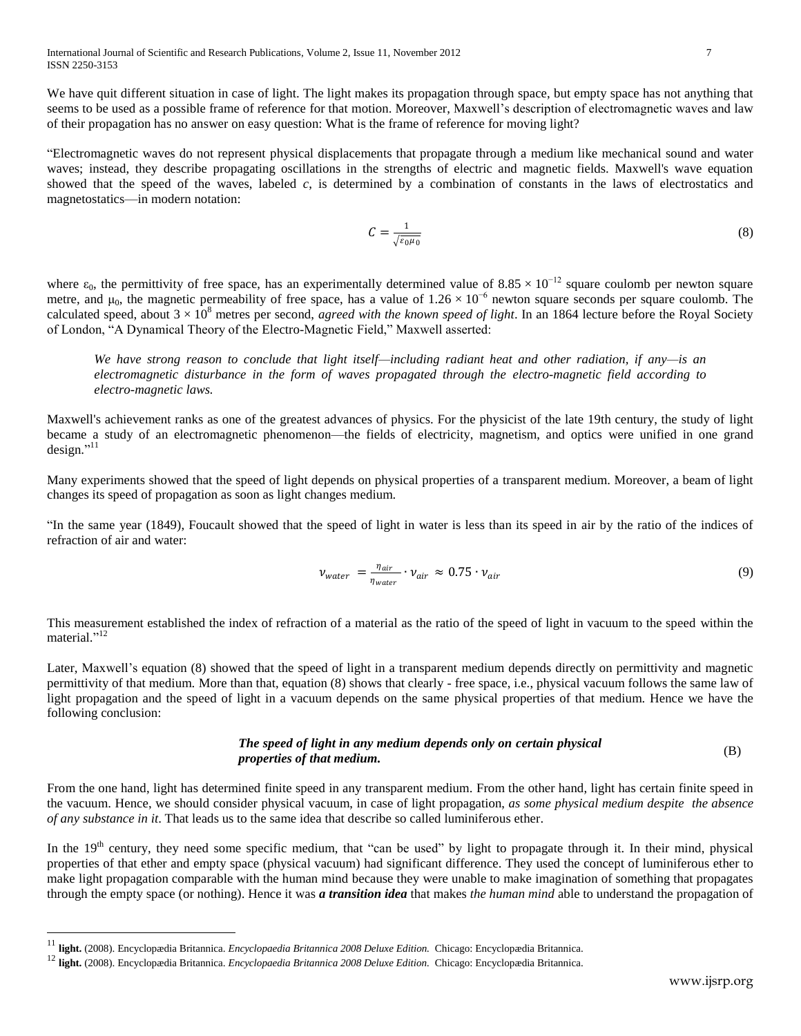We have quit different situation in case of light. The light makes its propagation through space, but empty space has not anything that seems to be used as a possible frame of reference for that motion. Moreover, Maxwell's description of electromagnetic waves and law of their propagation has no answer on easy question: What is the frame of reference for moving light?

―Electromagnetic waves do not represent physical displacements that propagate through a medium like mechanical sound and water waves; instead, they describe propagating oscillations in the strengths of electric and magnetic fields. Maxwell's wave equation showed that the speed of the waves, labeled *c*, is determined by a combination of constants in the laws of electrostatics and magnetostatics—in modern notation:

$$
C = \frac{1}{\sqrt{\varepsilon_0 \mu_0}}\tag{8}
$$

where  $\varepsilon_0$ , the permittivity of free space, has an experimentally determined value of  $8.85 \times 10^{-12}$  square coulomb per newton square metre, and  $\mu_0$ , the magnetic permeability of free space, has a value of  $1.26 \times 10^{-6}$  newton square seconds per square coulomb. The calculated speed, about  $3 \times 10^8$  metres per second, *agreed with the known speed of light*. In an 1864 lecture before the Royal Society of London, "A Dynamical Theory of the Electro-Magnetic Field," Maxwell asserted:

*We have strong reason to conclude that light itself—including radiant heat and other radiation, if any—is an electromagnetic disturbance in the form of waves propagated through the electro-magnetic field according to electro-magnetic laws.*

Maxwell's achievement ranks as one of the greatest advances of physics. For the physicist of the late 19th century, the study of light became a study of an electromagnetic phenomenon—the fields of electricity, magnetism, and optics were unified in one grand design."<sup>11</sup>

Many experiments showed that the speed of light depends on physical properties of a transparent medium. Moreover, a beam of light changes its speed of propagation as soon as light changes medium.

"In the same year (1849), Foucault showed that the speed of light in water is less than its speed in air by the ratio of the indices of refraction of air and water:

$$
\nu_{water} = \frac{\eta_{air}}{\eta_{water}} \cdot \nu_{air} \approx 0.75 \cdot \nu_{air}
$$
\n(9)

This measurement established the index of refraction of a material as the ratio of the speed of light in vacuum to the speed within the material."<sup>12</sup>

Later, Maxwell's equation (8) showed that the speed of light in a transparent medium depends directly on permittivity and magnetic permittivity of that medium. More than that, equation (8) shows that clearly - free space, i.e., physical vacuum follows the same law of light propagation and the speed of light in a vacuum depends on the same physical properties of that medium. Hence we have the following conclusion:

## *The speed of light in any medium depends only on certain physical properties of that medium.* (B)

From the one hand, light has determined finite speed in any transparent medium. From the other hand, light has certain finite speed in the vacuum. Hence, we should consider physical vacuum, in case of light propagation, *as some physical medium despite the absence of any substance in it*. That leads us to the same idea that describe so called luminiferous ether.

In the  $19<sup>th</sup>$  century, they need some specific medium, that "can be used" by light to propagate through it. In their mind, physical properties of that ether and empty space (physical vacuum) had significant difference. They used the concept of luminiferous ether to make light propagation comparable with the human mind because they were unable to make imagination of something that propagates through the empty space (or nothing). Hence it was *a transition idea* that makes *the human mind* able to understand the propagation of

<sup>11</sup> **light.** (2008). Encyclopædia Britannica. *Encyclopaedia Britannica 2008 Deluxe Edition.* Chicago: Encyclopædia Britannica.

<sup>12</sup> **light.** (2008). Encyclopædia Britannica. *Encyclopaedia Britannica 2008 Deluxe Edition.* Chicago: Encyclopædia Britannica.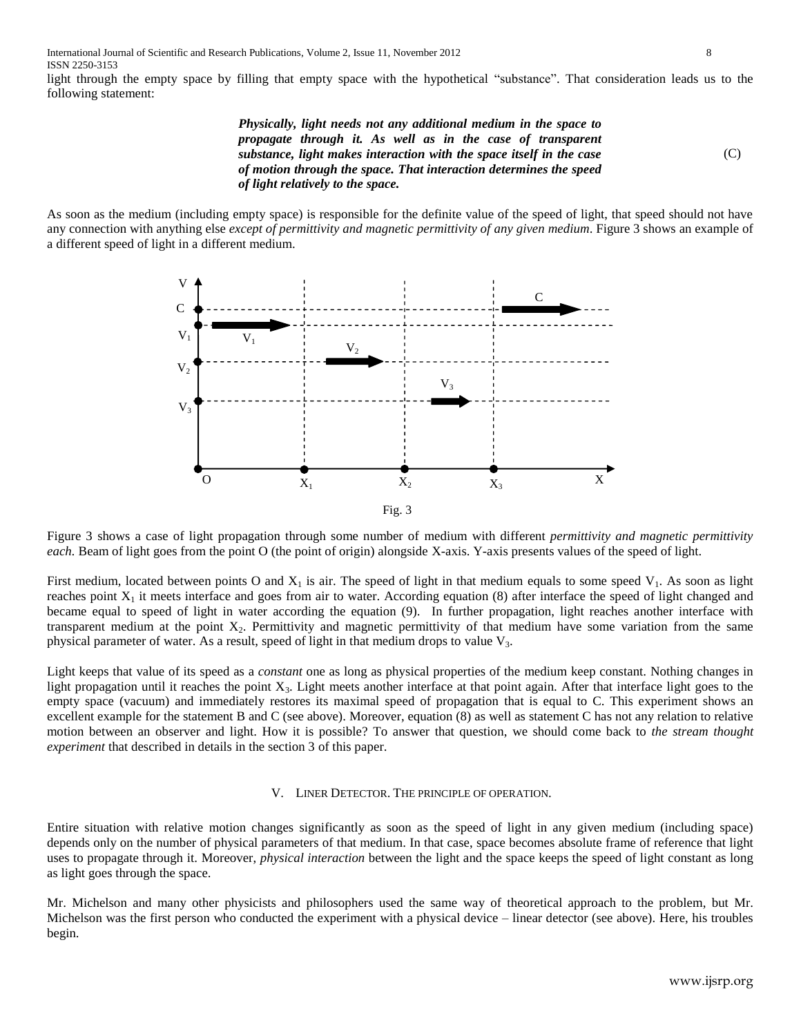light through the empty space by filling that empty space with the hypothetical "substance". That consideration leads us to the following statement:

> *Physically, light needs not any additional medium in the space to propagate through it. As well as in the case of transparent substance, light makes interaction with the space itself in the case of motion through the space. That interaction determines the speed of light relatively to the space.*  (C)

As soon as the medium (including empty space) is responsible for the definite value of the speed of light, that speed should not have any connection with anything else *except of permittivity and magnetic permittivity of any given medium*. Figure 3 shows an example of a different speed of light in a different medium.



Figure 3 shows a case of light propagation through some number of medium with different *permittivity and magnetic permittivity each.* Beam of light goes from the point O (the point of origin) alongside X-axis. Y-axis presents values of the speed of light.

First medium, located between points O and  $X_1$  is air. The speed of light in that medium equals to some speed  $V_1$ . As soon as light reaches point  $X_1$  it meets interface and goes from air to water. According equation (8) after interface the speed of light changed and became equal to speed of light in water according the equation (9). In further propagation, light reaches another interface with transparent medium at the point  $X_2$ . Permittivity and magnetic permittivity of that medium have some variation from the same physical parameter of water. As a result, speed of light in that medium drops to value  $V_3$ .

Light keeps that value of its speed as a *constant* one as long as physical properties of the medium keep constant. Nothing changes in light propagation until it reaches the point  $X_3$ . Light meets another interface at that point again. After that interface light goes to the empty space (vacuum) and immediately restores its maximal speed of propagation that is equal to C. This experiment shows an excellent example for the statement B and C (see above). Moreover, equation (8) as well as statement C has not any relation to relative motion between an observer and light. How it is possible? To answer that question, we should come back to *the stream thought experiment* that described in details in the section 3 of this paper.

## V. LINER DETECTOR. THE PRINCIPLE OF OPERATION.

Entire situation with relative motion changes significantly as soon as the speed of light in any given medium (including space) depends only on the number of physical parameters of that medium. In that case, space becomes absolute frame of reference that light uses to propagate through it. Moreover, *physical interaction* between the light and the space keeps the speed of light constant as long as light goes through the space.

Mr. Michelson and many other physicists and philosophers used the same way of theoretical approach to the problem, but Mr. Michelson was the first person who conducted the experiment with a physical device – linear detector (see above). Here, his troubles begin.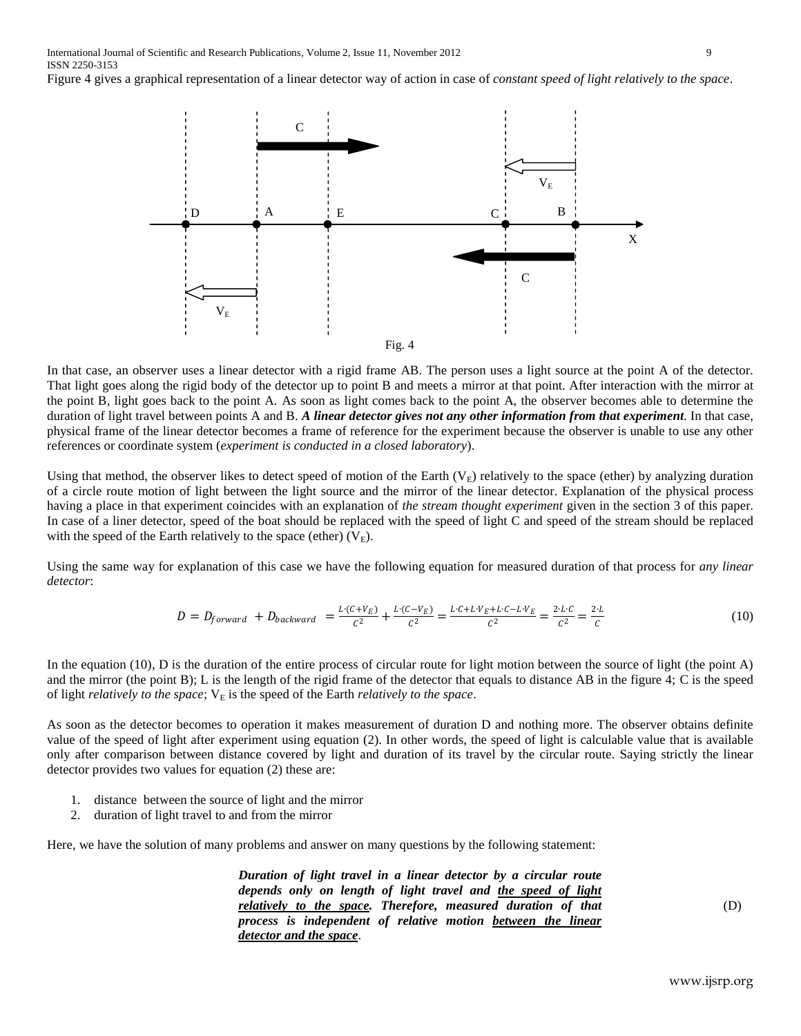Figure 4 gives a graphical representation of a linear detector way of action in case of *constant speed of light relatively to the space*.



In that case, an observer uses a linear detector with a rigid frame AB. The person uses a light source at the point A of the detector. That light goes along the rigid body of the detector up to point B and meets a mirror at that point. After interaction with the mirror at the point B, light goes back to the point A. As soon as light comes back to the point A, the observer becomes able to determine the duration of light travel between points A and B. *A linear detector gives not any other information from that experiment*. In that case, physical frame of the linear detector becomes a frame of reference for the experiment because the observer is unable to use any other references or coordinate system (*experiment is conducted in a closed laboratory*).

Using that method, the observer likes to detect speed of motion of the Earth  $(V_E)$  relatively to the space (ether) by analyzing duration of a circle route motion of light between the light source and the mirror of the linear detector. Explanation of the physical process having a place in that experiment coincides with an explanation of *the stream thought experiment* given in the section 3 of this paper. In case of a liner detector, speed of the boat should be replaced with the speed of light C and speed of the stream should be replaced with the speed of the Earth relatively to the space (ether)  $(V_E)$ .

Using the same way for explanation of this case we have the following equation for measured duration of that process for *any linear detector*:

$$
D = D_{forward} + D_{backward} = \frac{L(C + V_E)}{C^2} + \frac{L(C - V_E)}{C^2} = \frac{L(C + L(V_E + L(C - L)V_E)}{C^2} = \frac{2 \cdot L(C)}{C^2} = \frac{2 \cdot L(C)}{C}
$$
(10)

In the equation (10), D is the duration of the entire process of circular route for light motion between the source of light (the point A) and the mirror (the point B); L is the length of the rigid frame of the detector that equals to distance AB in the figure 4; C is the speed of light *relatively to the space*;  $V_E$  is the speed of the Earth *relatively to the space*.

As soon as the detector becomes to operation it makes measurement of duration D and nothing more. The observer obtains definite value of the speed of light after experiment using equation (2). In other words, the speed of light is calculable value that is available only after comparison between distance covered by light and duration of its travel by the circular route. Saying strictly the linear detector provides two values for equation (2) these are:

- 1. distance between the source of light and the mirror
- 2. duration of light travel to and from the mirror

Here, we have the solution of many problems and answer on many questions by the following statement:

*Duration of light travel in a linear detector by a circular route depends only on length of light travel and the speed of light relatively to the space. Therefore, measured duration of that process is independent of relative motion between the linear detector and the space*.

(D)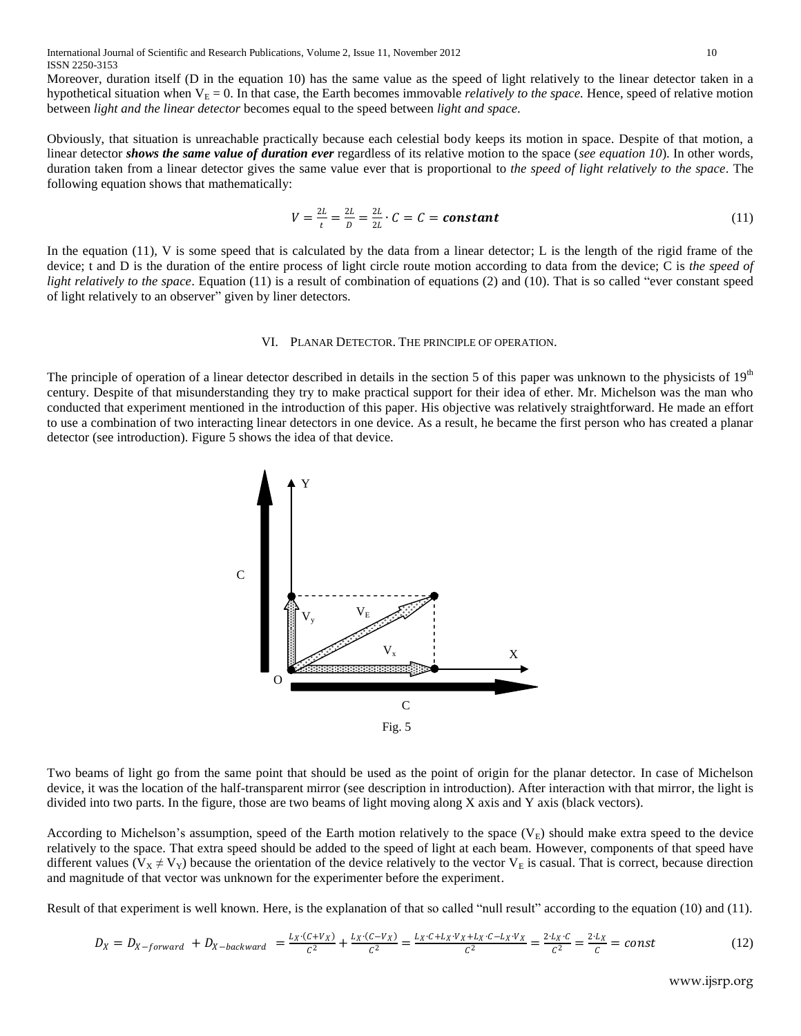Moreover, duration itself (D in the equation 10) has the same value as the speed of light relatively to the linear detector taken in a hypothetical situation when  $V_E = 0$ . In that case, the Earth becomes immovable *relatively to the space*. Hence, speed of relative motion between *light and the linear detector* becomes equal to the speed between *light and space*.

Obviously, that situation is unreachable practically because each celestial body keeps its motion in space. Despite of that motion, a linear detector *shows the same value of duration ever* regardless of its relative motion to the space (*see equation 10*). In other words, duration taken from a linear detector gives the same value ever that is proportional to *the speed of light relatively to the space*. The following equation shows that mathematically:

$$
V = \frac{2L}{t} = \frac{2L}{D} = \frac{2L}{2L} \cdot C = C = constant \tag{11}
$$

In the equation (11), V is some speed that is calculated by the data from a linear detector; L is the length of the rigid frame of the device; t and D is the duration of the entire process of light circle route motion according to data from the device; C is *the speed of light relatively to the space*. Equation (11) is a result of combination of equations (2) and (10). That is so called "ever constant speed of light relatively to an observer" given by liner detectors.

#### VI. PLANAR DETECTOR. THE PRINCIPLE OF OPERATION.

The principle of operation of a linear detector described in details in the section 5 of this paper was unknown to the physicists of  $19<sup>th</sup>$ century. Despite of that misunderstanding they try to make practical support for their idea of ether. Mr. Michelson was the man who conducted that experiment mentioned in the introduction of this paper. His objective was relatively straightforward. He made an effort to use a combination of two interacting linear detectors in one device. As a result, he became the first person who has created a planar detector (see introduction). Figure 5 shows the idea of that device.



Two beams of light go from the same point that should be used as the point of origin for the planar detector. In case of Michelson device, it was the location of the half-transparent mirror (see description in introduction). After interaction with that mirror, the light is divided into two parts. In the figure, those are two beams of light moving along X axis and Y axis (black vectors).

According to Michelson's assumption, speed of the Earth motion relatively to the space  $(V<sub>E</sub>)$  should make extra speed to the device relatively to the space. That extra speed should be added to the speed of light at each beam. However, components of that speed have different values ( $V_X \neq V_Y$ ) because the orientation of the device relatively to the vector  $V_E$  is casual. That is correct, because direction and magnitude of that vector was unknown for the experimenter before the experiment.

Result of that experiment is well known. Here, is the explanation of that so called "null result" according to the equation (10) and (11).

$$
D_X = D_{X-forward} + D_{X-backward} = \frac{L_X \cdot (C + V_X)}{C^2} + \frac{L_X \cdot (C - V_X)}{C^2} = \frac{L_X \cdot C + L_X \cdot V_X + L_X \cdot C - L_X \cdot V_X}{C^2} = \frac{2 \cdot L_X \cdot C}{C^2} = \frac{2 \cdot L_X \cdot C}{C} = const
$$
\n(12)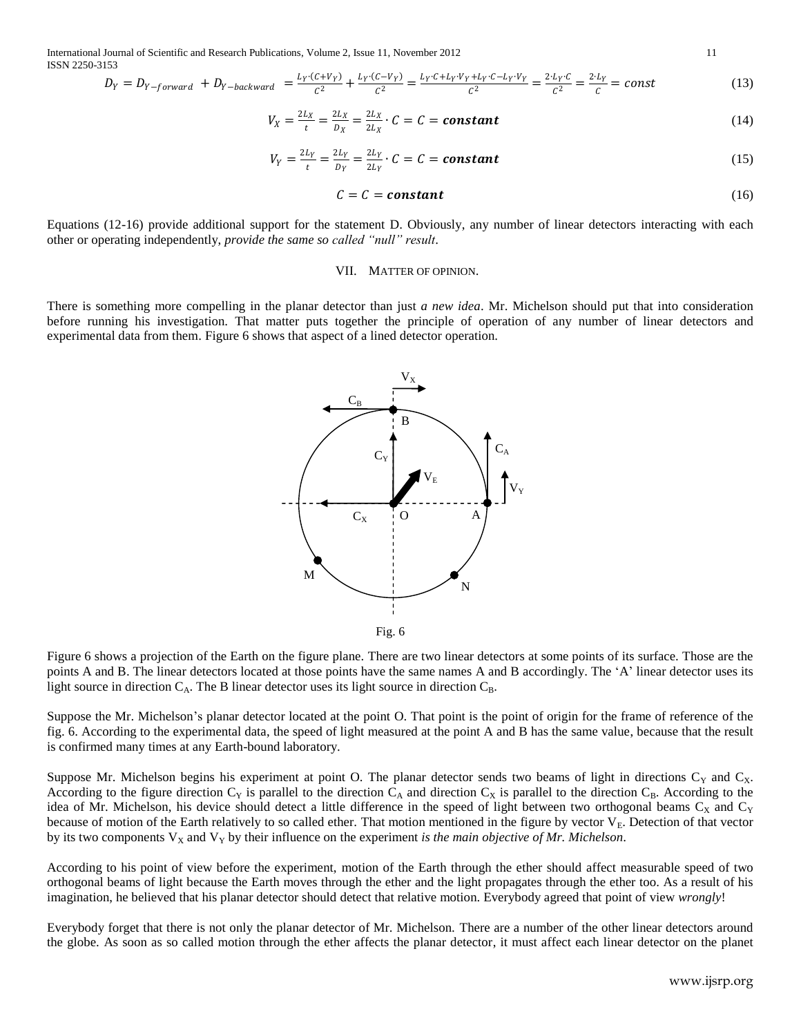International Journal of Scientific and Research Publications, Volume 2, Issue 11, November 2012 11 ISSN 2250-3153

$$
D_Y = D_{Y-forward} + D_{Y-backward} = \frac{L_Y(C+V_Y)}{C^2} + \frac{L_Y(C-V_Y)}{C^2} = \frac{L_Y(C+L_Y \cdot V_Y + L_Y \cdot C - L_Y \cdot V_Y}{C^2} = \frac{2 \cdot L_Y \cdot C}{C^2} = \frac{2 \cdot L_Y \cdot C}{C} = const
$$
\n(13)

$$
V_X = \frac{2L_X}{t} = \frac{2L_X}{D_X} = \frac{2L_X}{2L_X} \cdot C = C = constant \qquad (14)
$$

$$
V_Y = \frac{2L_Y}{t} = \frac{2L_Y}{D_Y} = \frac{2L_Y}{2L_Y} \cdot C = C = constant \qquad (15)
$$

$$
C = C = constant \tag{16}
$$

Equations (12-16) provide additional support for the statement D. Obviously, any number of linear detectors interacting with each other or operating independently, *provide the same so called "null" result*.

#### VII. MATTER OF OPINION.

There is something more compelling in the planar detector than just *a new idea*. Mr. Michelson should put that into consideration before running his investigation. That matter puts together the principle of operation of any number of linear detectors and experimental data from them. Figure 6 shows that aspect of a lined detector operation.



Figure 6 shows a projection of the Earth on the figure plane. There are two linear detectors at some points of its surface. Those are the points A and B. The linear detectors located at those points have the same names A and B accordingly. The 'A' linear detector uses its light source in direction  $C_A$ . The B linear detector uses its light source in direction  $C_B$ .

Suppose the Mr. Michelson's planar detector located at the point O. That point is the point of origin for the frame of reference of the fig. 6. According to the experimental data, the speed of light measured at the point A and B has the same value, because that the result is confirmed many times at any Earth-bound laboratory.

Suppose Mr. Michelson begins his experiment at point O. The planar detector sends two beams of light in directions  $C_Y$  and  $C_X$ . According to the figure direction  $C_Y$  is parallel to the direction  $C_A$  and direction  $C_X$  is parallel to the direction  $C_B$ . According to the idea of Mr. Michelson, his device should detect a little difference in the speed of light between two orthogonal beams  $C_X$  and  $C_Y$ because of motion of the Earth relatively to so called ether. That motion mentioned in the figure by vector  $V_E$ . Detection of that vector by its two components  $V_X$  and  $V_Y$  by their influence on the experiment *is the main objective of Mr. Michelson*.

According to his point of view before the experiment, motion of the Earth through the ether should affect measurable speed of two orthogonal beams of light because the Earth moves through the ether and the light propagates through the ether too. As a result of his imagination, he believed that his planar detector should detect that relative motion. Everybody agreed that point of view *wrongly*!

Everybody forget that there is not only the planar detector of Mr. Michelson. There are a number of the other linear detectors around the globe. As soon as so called motion through the ether affects the planar detector, it must affect each linear detector on the planet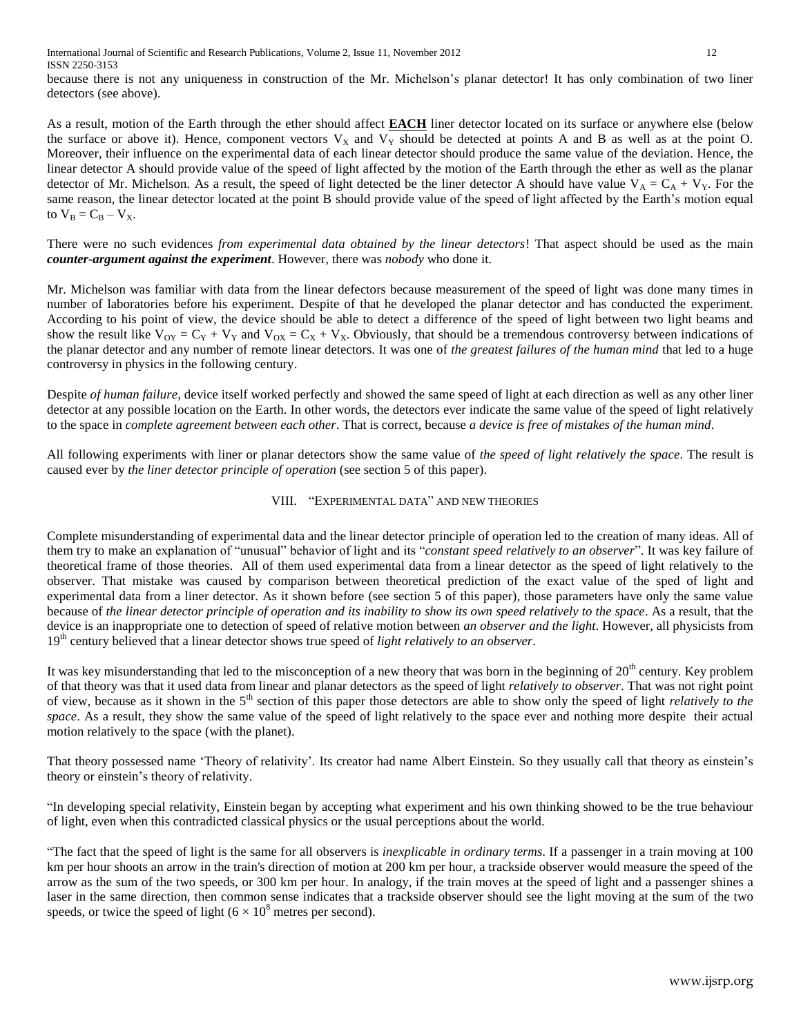because there is not any uniqueness in construction of the Mr. Michelson's planar detector! It has only combination of two liner detectors (see above).

As a result, motion of the Earth through the ether should affect **EACH** liner detector located on its surface or anywhere else (below the surface or above it). Hence, component vectors  $V_X$  and  $V_Y$  should be detected at points A and B as well as at the point O. Moreover, their influence on the experimental data of each linear detector should produce the same value of the deviation. Hence, the linear detector A should provide value of the speed of light affected by the motion of the Earth through the ether as well as the planar detector of Mr. Michelson. As a result, the speed of light detected be the liner detector A should have value  $V_A = C_A + V_Y$ . For the same reason, the linear detector located at the point B should provide value of the speed of light affected by the Earth's motion equal to  $V_B = C_B - V_X$ .

There were no such evidences *from experimental data obtained by the linear detectors*! That aspect should be used as the main *counter-argument against the experiment*. However, there was *nobody* who done it.

Mr. Michelson was familiar with data from the linear defectors because measurement of the speed of light was done many times in number of laboratories before his experiment. Despite of that he developed the planar detector and has conducted the experiment. According to his point of view, the device should be able to detect a difference of the speed of light between two light beams and show the result like  $V_{OY} = C_Y + V_Y$  and  $V_{OX} = C_X + V_X$ . Obviously, that should be a tremendous controversy between indications of the planar detector and any number of remote linear detectors. It was one of *the greatest failures of the human mind* that led to a huge controversy in physics in the following century.

Despite *of human failure,* device itself worked perfectly and showed the same speed of light at each direction as well as any other liner detector at any possible location on the Earth. In other words, the detectors ever indicate the same value of the speed of light relatively to the space in *complete agreement between each other*. That is correct, because *a device is free of mistakes of the human mind*.

All following experiments with liner or planar detectors show the same value of *the speed of light relatively the space*. The result is caused ever by *the liner detector principle of operation* (see section 5 of this paper).

## VIII. "EXPERIMENTAL DATA" AND NEW THEORIES

Complete misunderstanding of experimental data and the linear detector principle of operation led to the creation of many ideas. All of them try to make an explanation of "unusual" behavior of light and its "*constant speed relatively to an observer*". It was key failure of theoretical frame of those theories. All of them used experimental data from a linear detector as the speed of light relatively to the observer. That mistake was caused by comparison between theoretical prediction of the exact value of the sped of light and experimental data from a liner detector. As it shown before (see section 5 of this paper), those parameters have only the same value because of *the linear detector principle of operation and its inability to show its own speed relatively to the space*. As a result, that the device is an inappropriate one to detection of speed of relative motion between *an observer and the light*. However, all physicists from 19th century believed that a linear detector shows true speed of *light relatively to an observer*.

It was key misunderstanding that led to the misconception of a new theory that was born in the beginning of  $20<sup>th</sup>$  century. Key problem of that theory was that it used data from linear and planar detectors as the speed of light *relatively to observer*. That was not right point of view, because as it shown in the 5th section of this paper those detectors are able to show only the speed of light *relatively to the space*. As a result, they show the same value of the speed of light relatively to the space ever and nothing more despite their actual motion relatively to the space (with the planet).

That theory possessed name 'Theory of relativity'. Its creator had name Albert Einstein. So they usually call that theory as einstein's theory or einstein's theory of relativity.

―In developing special relativity, Einstein began by accepting what experiment and his own thinking showed to be the true behaviour of light, even when this contradicted classical physics or the usual perceptions about the world.

―The fact that the speed of light is the same for all observers is *inexplicable in ordinary terms*. If a passenger in a train moving at 100 km per hour shoots an arrow in the train's direction of motion at 200 km per hour, a trackside observer would measure the speed of the arrow as the sum of the two speeds, or 300 km per hour. In analogy, if the train moves at the speed of light and a passenger shines a laser in the same direction, then common sense indicates that a trackside observer should see the light moving at the sum of the two speeds, or twice the speed of light  $(6 \times 10^8$  metres per second).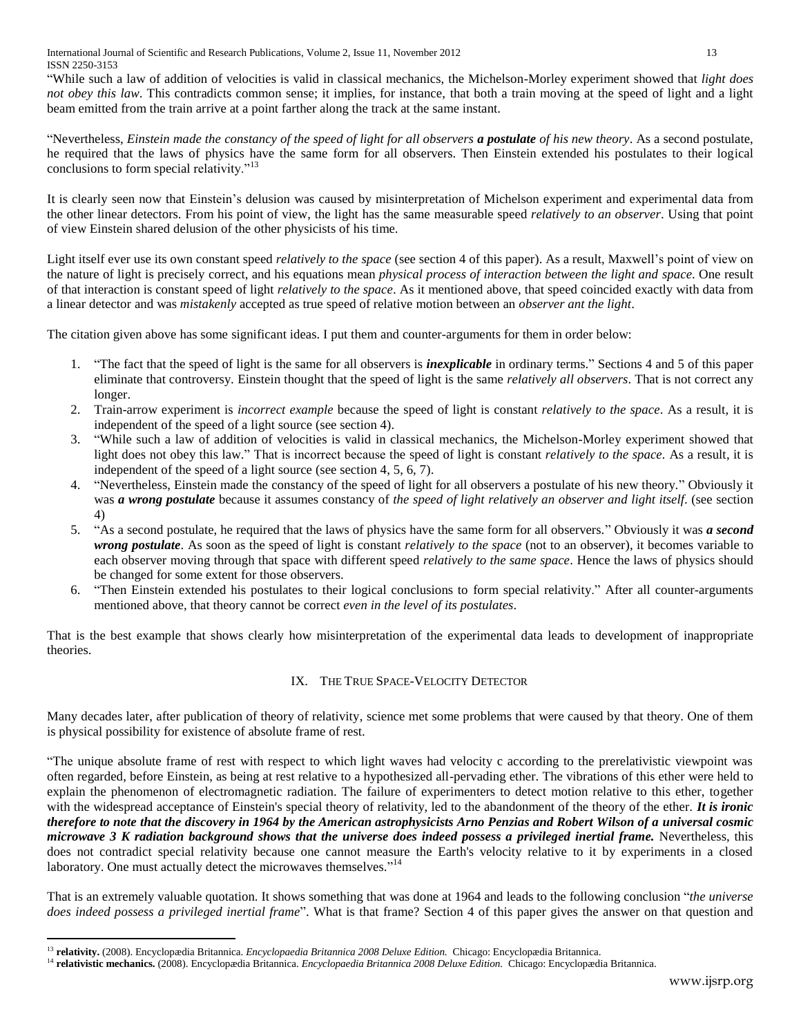International Journal of Scientific and Research Publications, Volume 2, Issue 11, November 2012 13 ISSN 2250-3153

―While such a law of addition of velocities is valid in classical mechanics, the Michelson-Morley experiment showed that *light does not obey this law*. This contradicts common sense; it implies, for instance, that both a train moving at the speed of light and a light beam emitted from the train arrive at a point farther along the track at the same instant.

―Nevertheless, *Einstein made the constancy of the speed of light for all observers a postulate of his new theory*. As a second postulate, he required that the laws of physics have the same form for all observers. Then Einstein extended his postulates to their logical conclusions to form special relativity."<sup>13</sup>

It is clearly seen now that Einstein's delusion was caused by misinterpretation of Michelson experiment and experimental data from the other linear detectors. From his point of view, the light has the same measurable speed *relatively to an observer*. Using that point of view Einstein shared delusion of the other physicists of his time.

Light itself ever use its own constant speed *relatively to the space* (see section 4 of this paper). As a result, Maxwell's point of view on the nature of light is precisely correct, and his equations mean *physical process of interaction between the light and space*. One result of that interaction is constant speed of light *relatively to the space*. As it mentioned above, that speed coincided exactly with data from a linear detector and was *mistakenly* accepted as true speed of relative motion between an *observer ant the light*.

The citation given above has some significant ideas. I put them and counter-arguments for them in order below:

- 1. ―The fact that the speed of light is the same for all observers is *inexplicable* in ordinary terms.‖ Sections 4 and 5 of this paper eliminate that controversy. Einstein thought that the speed of light is the same *relatively all observers*. That is not correct any longer.
- 2. Train-arrow experiment is *incorrect example* because the speed of light is constant *relatively to the space*. As a result, it is independent of the speed of a light source (see section 4).
- 3. ―While such a law of addition of velocities is valid in classical mechanics, the Michelson-Morley experiment showed that light does not obey this law." That is incorrect because the speed of light is constant *relatively to the space*. As a result, it is independent of the speed of a light source (see section 4, 5, 6, 7).
- 4. "Nevertheless, Einstein made the constancy of the speed of light for all observers a postulate of his new theory." Obviously it was *a wrong postulate* because it assumes constancy of *the speed of light relatively an observer and light itself*. (see section 4)
- 5. ―As a second postulate, he required that the laws of physics have the same form for all observers.‖ Obviously it was *a second wrong postulate*. As soon as the speed of light is constant *relatively to the space* (not to an observer), it becomes variable to each observer moving through that space with different speed *relatively to the same space*. Hence the laws of physics should be changed for some extent for those observers.
- 6. "Then Einstein extended his postulates to their logical conclusions to form special relativity." After all counter-arguments mentioned above, that theory cannot be correct *even in the level of its postulates*.

That is the best example that shows clearly how misinterpretation of the experimental data leads to development of inappropriate theories.

## IX. THE TRUE SPACE-VELOCITY DETECTOR

Many decades later, after publication of theory of relativity, science met some problems that were caused by that theory. One of them is physical possibility for existence of absolute frame of rest.

―The unique absolute frame of rest with respect to which light waves had velocity c according to the prerelativistic viewpoint was often regarded, before Einstein, as being at rest relative to a hypothesized all-pervading ether. The vibrations of this ether were held to explain the phenomenon of electromagnetic radiation. The failure of experimenters to detect motion relative to this ether, together with the widespread acceptance of Einstein's special theory of relativity, led to the abandonment of the theory of the ether. *It is ironic therefore to note that the discovery in 1964 by the American astrophysicists Arno Penzias and Robert Wilson of a universal cosmic microwave 3 K radiation background shows that the universe does indeed possess a privileged inertial frame.* Nevertheless, this does not contradict special relativity because one cannot measure the Earth's velocity relative to it by experiments in a closed laboratory. One must actually detect the microwaves themselves."<sup>14</sup>

That is an extremely valuable quotation. It shows something that was done at 1964 and leads to the following conclusion "*the universe does indeed possess a privileged inertial frame*". What is that frame? Section 4 of this paper gives the answer on that question and

<sup>13</sup> **relativity.** (2008). Encyclopædia Britannica. *Encyclopaedia Britannica 2008 Deluxe Edition.* Chicago: Encyclopædia Britannica.

<sup>14</sup> **relativistic mechanics.** (2008). Encyclopædia Britannica. *Encyclopaedia Britannica 2008 Deluxe Edition.* Chicago: Encyclopædia Britannica.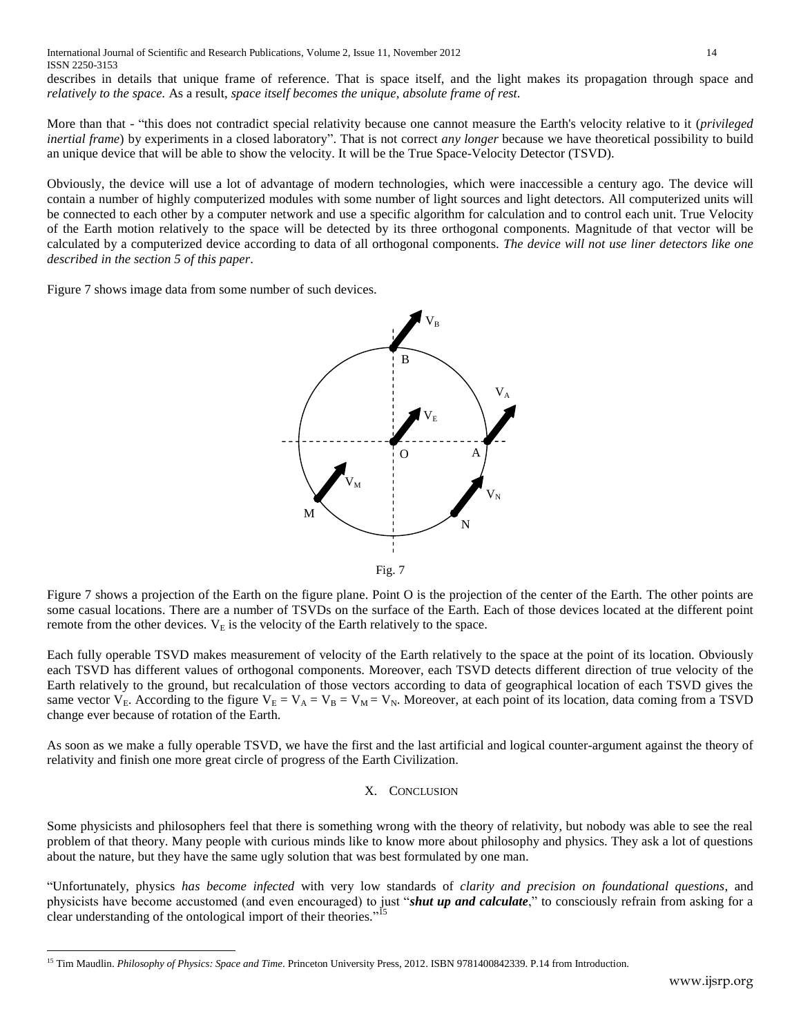International Journal of Scientific and Research Publications, Volume 2, Issue 11, November 2012 14 ISSN 2250-3153

describes in details that unique frame of reference. That is space itself, and the light makes its propagation through space and *relatively to the space.* As a result, *space itself becomes the unique, absolute frame of rest*.

More than that - "this does not contradict special relativity because one cannot measure the Earth's velocity relative to it (*privileged inertial frame*) by experiments in a closed laboratory". That is not correct *any longer* because we have theoretical possibility to build an unique device that will be able to show the velocity. It will be the True Space-Velocity Detector (TSVD).

Obviously, the device will use a lot of advantage of modern technologies, which were inaccessible a century ago. The device will contain a number of highly computerized modules with some number of light sources and light detectors. All computerized units will be connected to each other by a computer network and use a specific algorithm for calculation and to control each unit. True Velocity of the Earth motion relatively to the space will be detected by its three orthogonal components. Magnitude of that vector will be calculated by a computerized device according to data of all orthogonal components. *The device will not use liner detectors like one described in the section 5 of this paper*.

Figure 7 shows image data from some number of such devices.



Figure 7 shows a projection of the Earth on the figure plane. Point O is the projection of the center of the Earth. The other points are some casual locations. There are a number of TSVDs on the surface of the Earth. Each of those devices located at the different point remote from the other devices.  $V_E$  is the velocity of the Earth relatively to the space.

Each fully operable TSVD makes measurement of velocity of the Earth relatively to the space at the point of its location. Obviously each TSVD has different values of orthogonal components. Moreover, each TSVD detects different direction of true velocity of the Earth relatively to the ground, but recalculation of those vectors according to data of geographical location of each TSVD gives the same vector  $V_E$ . According to the figure  $V_E = V_A = V_B = V_M = V_N$ . Moreover, at each point of its location, data coming from a TSVD change ever because of rotation of the Earth.

As soon as we make a fully operable TSVD, we have the first and the last artificial and logical counter-argument against the theory of relativity and finish one more great circle of progress of the Earth Civilization.

## X. CONCLUSION

Some physicists and philosophers feel that there is something wrong with the theory of relativity, but nobody was able to see the real problem of that theory. Many people with curious minds like to know more about philosophy and physics. They ask a lot of questions about the nature, but they have the same ugly solution that was best formulated by one man.

―Unfortunately, physics *has become infected* with very low standards of *clarity and precision on foundational questions*, and physicists have become accustomed (and even encouraged) to just "*shut up and calculate*," to consciously refrain from asking for a clear understanding of the ontological import of their theories."<sup>15</sup>

<sup>15</sup> Tim Maudlin. *Philosophy of Physics: Space and Time*. Princeton University Press, 2012. ISBN 9781400842339. P.14 from Introduction.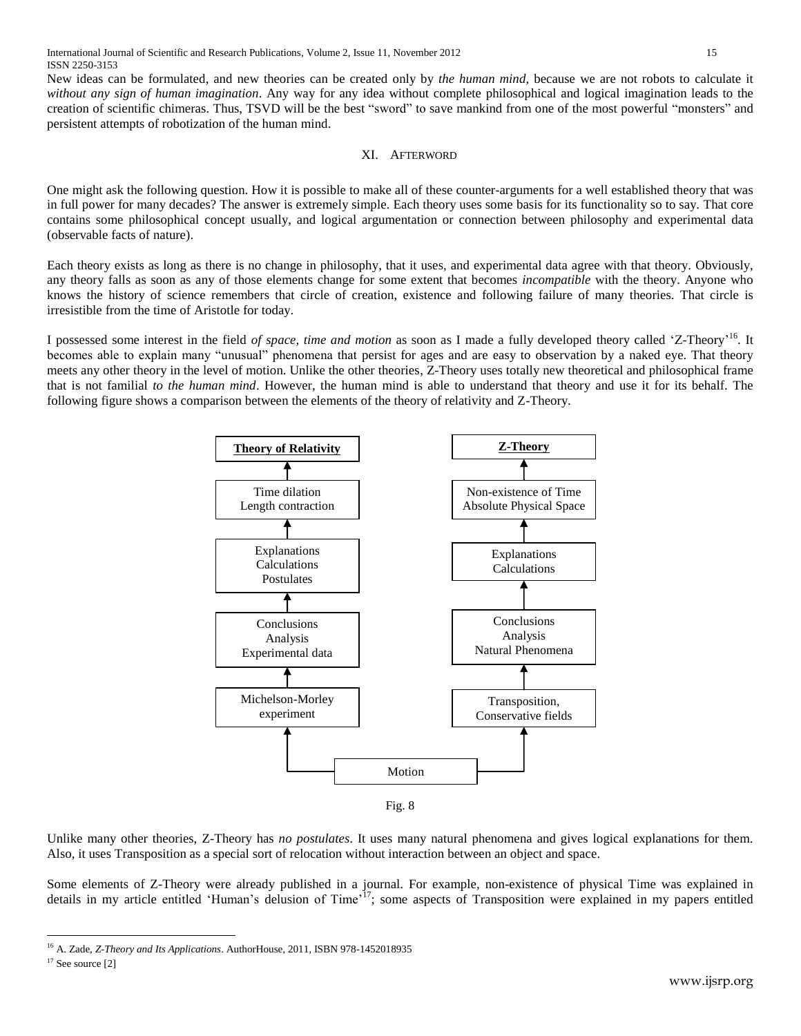New ideas can be formulated, and new theories can be created only by *the human mind*, because we are not robots to calculate it *without any sign of human imagination*. Any way for any idea without complete philosophical and logical imagination leads to the creation of scientific chimeras. Thus, TSVD will be the best "sword" to save mankind from one of the most powerful "monsters" and persistent attempts of robotization of the human mind.

## XI. AFTERWORD

One might ask the following question. How it is possible to make all of these counter-arguments for a well established theory that was in full power for many decades? The answer is extremely simple. Each theory uses some basis for its functionality so to say. That core contains some philosophical concept usually, and logical argumentation or connection between philosophy and experimental data (observable facts of nature).

Each theory exists as long as there is no change in philosophy, that it uses, and experimental data agree with that theory. Obviously, any theory falls as soon as any of those elements change for some extent that becomes *incompatible* with the theory. Anyone who knows the history of science remembers that circle of creation, existence and following failure of many theories. That circle is irresistible from the time of Aristotle for today.

I possessed some interest in the field *of space, time and motion* as soon as I made a fully developed theory called 'Z-Theory'<sup>16</sup>. It becomes able to explain many "unusual" phenomena that persist for ages and are easy to observation by a naked eye. That theory meets any other theory in the level of motion. Unlike the other theories, Z-Theory uses totally new theoretical and philosophical frame that is not familial *to the human mind*. However, the human mind is able to understand that theory and use it for its behalf. The following figure shows a comparison between the elements of the theory of relativity and Z-Theory.



Fig. 8

Unlike many other theories, Z-Theory has *no postulates*. It uses many natural phenomena and gives logical explanations for them. Also, it uses Transposition as a special sort of relocation without interaction between an object and space.

Some elements of Z-Theory were already published in a journal. For example, non-existence of physical Time was explained in details in my article entitled 'Human's delusion of Time'<sup>17</sup>; some aspects of Transposition were explained in my papers entitled

 $\overline{a}$ <sup>16</sup> A. Zade, *Z-Theory and Its Applications*. AuthorHouse, 2011*,* ISBN 978-1452018935

<sup>&</sup>lt;sup>17</sup> See source [2]